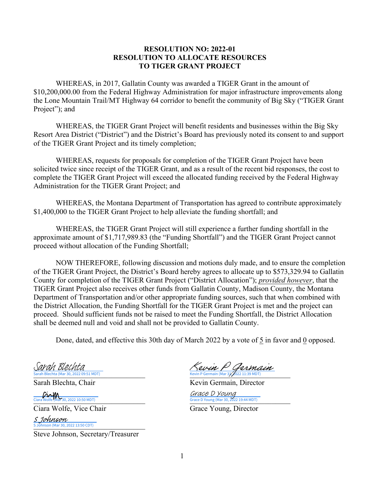## **RESOLUTION NO: 2022-01 RESOLUTION TO ALLOCATE RESOURCES TO TIGER GRANT PROJECT**

WHEREAS, in 2017, Gallatin County was awarded a TIGER Grant in the amount of \$10,200,000.00 from the Federal Highway Administration for major infrastructure improvements along the Lone Mountain Trail/MT Highway 64 corridor to benefit the community of Big Sky ("TIGER Grant Project"); and

WHEREAS, the TIGER Grant Project will benefit residents and businesses within the Big Sky Resort Area District ("District") and the District's Board has previously noted its consent to and support of the TIGER Grant Project and its timely completion;

WHEREAS, requests for proposals for completion of the TIGER Grant Project have been solicited twice since receipt of the TIGER Grant, and as a result of the recent bid responses, the cost to complete the TIGER Grant Project will exceed the allocated funding received by the Federal Highway Administration for the TIGER Grant Project; and

WHEREAS, the Montana Department of Transportation has agreed to contribute approximately \$1,400,000 to the TIGER Grant Project to help alleviate the funding shortfall; and

WHEREAS, the TIGER Grant Project will still experience a further funding shortfall in the approximate amount of \$1,717,989.83 (the "Funding Shortfall") and the TIGER Grant Project cannot proceed without allocation of the Funding Shortfall;

NOW THEREFORE, following discussion and motions duly made, and to ensure the completion of the TIGER Grant Project, the District's Board hereby agrees to allocate up to \$573,329.94 to Gallatin County for completion of the TIGER Grant Project ("District Allocation"); *provided however*, that the TIGER Grant Project also receives other funds from Gallatin County, Madison County, the Montana Department of Transportation and/or other appropriate funding sources, such that when combined with the District Allocation, the Funding Shortfall for the TIGER Grant Project is met and the project can proceed. Should sufficient funds not be raised to meet the Funding Shortfall, the District Allocation shall be deemed null and void and shall not be provided to Gallatin County.

Done, dated, and effective this 30th day of March 2022 by a vote of 5 in favor and 0 opposed.

Sarah Blechta (Mar 30, 2022 09:51 MDT) S*arah Blechta* 

Ciara Wolfe, Vice Chair Grace Young, Director

S Johnson (Mar 30, 2022 13:50 CDT) S Johnson

Steve Johnson, Secretary/Treasurer

 $\frac{\text{Sarch Black}}{\text{Sarch Beleta}}$   $\frac{\text{Suchen}}{\text{Kevin } P}$  Germain (Mar 31, 2022 11:39 MDT)

Sarah Blechta, Chair **Kevin Germain**, Director

Ciara Wolfe (Mar 30, 2022 10:50 MDT) Ciara Wolfe (Mar 30, 2022 19:44 MDT) Gr*ace D Young*<br>Grace D Young (Mar 30, 2022 19:44 MDT)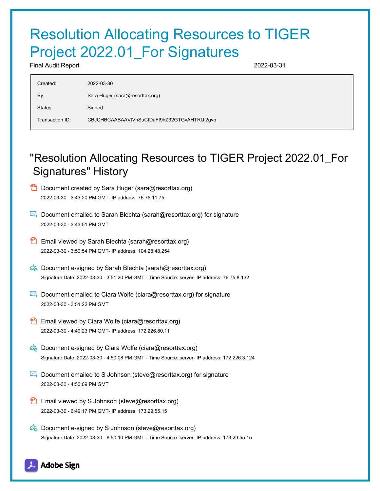## Resolution Allocating Resources to TIGER Project 2022.01\_For Signatures

Final Audit Report 2022-03-31

| Created:        | 2022-03-30                                   |
|-----------------|----------------------------------------------|
| By:             | Sara Huger (sara@resorttax.org)              |
| Status:         | Signed                                       |
| Transaction ID: | CBJCHBCAABAAVtVhSuCtDuFf9hZ32GTGvAHTRIJi2gvp |

## "Resolution Allocating Resources to TIGER Project 2022.01\_For Signatures" History

- **D** Document created by Sara Huger (sara@resorttax.org) 2022-03-30 - 3:43:20 PM GMT- IP address: 76.75.11.75
- Document emailed to Sarah Blechta (sarah@resorttax.org) for signature 2022-03-30 - 3:43:51 PM GMT
- **Email viewed by Sarah Blechta (sarah@resorttax.org)** 2022-03-30 - 3:50:54 PM GMT- IP address: 104.28.48.254
- $\mathscr{D}_{\bullet}$  Document e-signed by Sarah Blechta (sarah@resorttax.org) Signature Date: 2022-03-30 - 3:51:20 PM GMT - Time Source: server- IP address: 76.75.8.132
- $\mathbb{R}$  Document emailed to Ciara Wolfe (ciara@resorttax.org) for signature 2022-03-30 - 3:51:22 PM GMT
- **Email viewed by Ciara Wolfe (ciara@resorttax.org)** 2022-03-30 - 4:49:23 PM GMT- IP address: 172.226.80.11
- $\mathscr{O}_\bullet$  Document e-signed by Ciara Wolfe (ciara@resorttax.org) Signature Date: 2022-03-30 - 4:50:08 PM GMT - Time Source: server- IP address: 172.226.3.124
- **Document emailed to S Johnson (steve@resorttax.org) for signature** 2022-03-30 - 4:50:09 PM GMT
- **Email viewed by S Johnson (steve@resorttax.org)** 2022-03-30 - 6:49:17 PM GMT- IP address: 173.29.55.15
- $\mathbb{Z}_{\mathbb{R}}$  Document e-signed by S Johnson (steve@resorttax.org) Signature Date: 2022-03-30 - 6:50:10 PM GMT - Time Source: server- IP address: 173.29.55.15